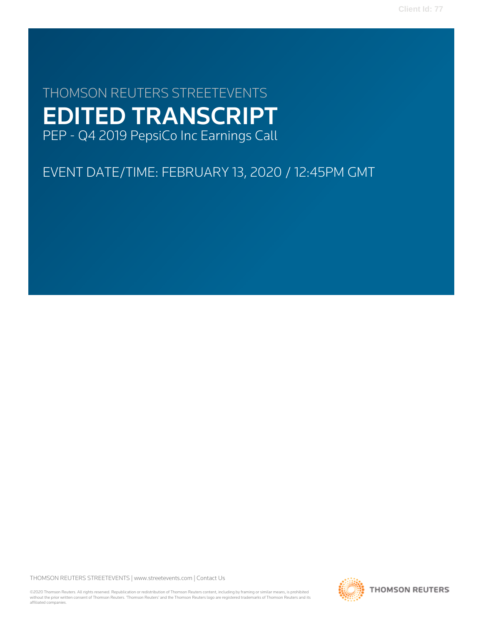# THOMSON REUTERS STREETEVENTS EDITED TRANSCRIPT PEP - Q4 2019 PepsiCo Inc Earnings Call

# EVENT DATE/TIME: FEBRUARY 13, 2020 / 12:45PM GMT

THOMSON REUTERS STREETEVENTS | [www.streetevents.com](http://www.streetevents.com) | [Contact Us](http://www010.streetevents.com/contact.asp)

©2020 Thomson Reuters. All rights reserved. Republication or redistribution of Thomson Reuters content, including by framing or similar means, is prohibited without the prior written consent of Thomson Reuters. 'Thomson Reuters' and the Thomson Reuters logo are registered trademarks of Thomson Reuters and its affiliated companies.

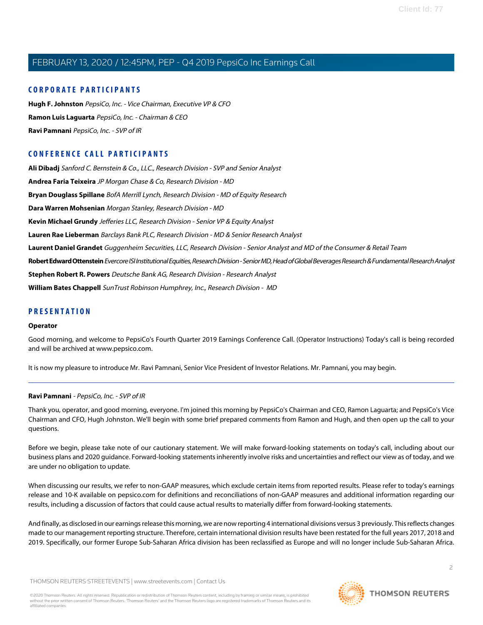## **CORPORATE PARTICIPANTS**

**[Hugh F. Johnston](#page-5-0)** PepsiCo, Inc. - Vice Chairman, Executive VP & CFO **[Ramon Luis Laguarta](#page-2-0)** PepsiCo, Inc. - Chairman & CEO **[Ravi Pamnani](#page-1-0)** PepsiCo, Inc. - SVP of IR

# **CONFERENCE CALL PARTICIPANTS**

**[Ali Dibadj](#page-7-0)** Sanford C. Bernstein & Co., LLC., Research Division - SVP and Senior Analyst **[Andrea Faria Teixeira](#page-8-0)** JP Morgan Chase & Co, Research Division - MD **[Bryan Douglass Spillane](#page-5-1)** BofA Merrill Lynch, Research Division - MD of Equity Research **[Dara Warren Mohsenian](#page-7-1)** Morgan Stanley, Research Division - MD **[Kevin Michael Grundy](#page-11-0)** Jefferies LLC, Research Division - Senior VP & Equity Analyst **[Lauren Rae Lieberman](#page-9-0)** Barclays Bank PLC, Research Division - MD & Senior Research Analyst **[Laurent Daniel Grandet](#page-9-1)** Guggenheim Securities, LLC, Research Division - Senior Analyst and MD of the Consumer & Retail Team **[Robert Edward Ottenstein](#page-10-0)** Evercore ISI Institutional Equities, Research Division - Senior MD, Head of Global Beverages Research & Fundamental Research Analyst **[Stephen Robert R. Powers](#page-6-0)** Deutsche Bank AG, Research Division - Research Analyst **[William Bates Chappell](#page-11-1)** SunTrust Robinson Humphrey, Inc., Research Division - MD

## **PRESENTATION**

#### **Operator**

Good morning, and welcome to PepsiCo's Fourth Quarter 2019 Earnings Conference Call. (Operator Instructions) Today's call is being recorded and will be archived at www.pepsico.com.

<span id="page-1-0"></span>It is now my pleasure to introduce Mr. Ravi Pamnani, Senior Vice President of Investor Relations. Mr. Pamnani, you may begin.

#### **Ravi Pamnani** - PepsiCo, Inc. - SVP of IR

Thank you, operator, and good morning, everyone. I'm joined this morning by PepsiCo's Chairman and CEO, Ramon Laguarta; and PepsiCo's Vice Chairman and CFO, Hugh Johnston. We'll begin with some brief prepared comments from Ramon and Hugh, and then open up the call to your questions.

Before we begin, please take note of our cautionary statement. We will make forward-looking statements on today's call, including about our business plans and 2020 guidance. Forward-looking statements inherently involve risks and uncertainties and reflect our view as of today, and we are under no obligation to update.

When discussing our results, we refer to non-GAAP measures, which exclude certain items from reported results. Please refer to today's earnings release and 10-K available on pepsico.com for definitions and reconciliations of non-GAAP measures and additional information regarding our results, including a discussion of factors that could cause actual results to materially differ from forward-looking statements.

And finally, as disclosed in our earnings release this morning, we are now reporting 4 international divisions versus 3 previously. This reflects changes made to our management reporting structure. Therefore, certain international division results have been restated for the full years 2017, 2018 and 2019. Specifically, our former Europe Sub-Saharan Africa division has been reclassified as Europe and will no longer include Sub-Saharan Africa.

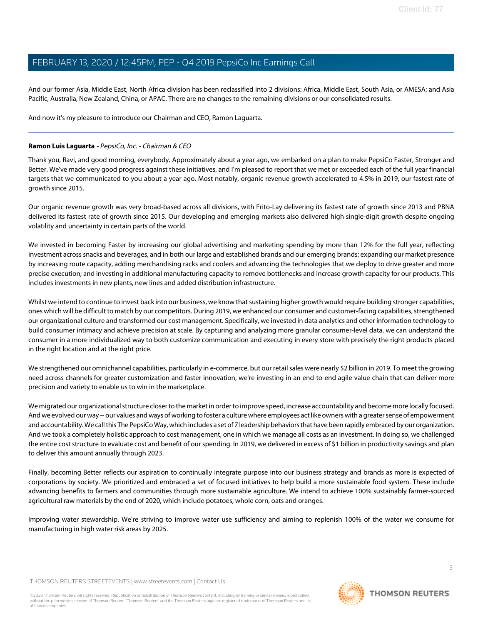And our former Asia, Middle East, North Africa division has been reclassified into 2 divisions: Africa, Middle East, South Asia, or AMESA; and Asia Pacific, Australia, New Zealand, China, or APAC. There are no changes to the remaining divisions or our consolidated results.

And now it's my pleasure to introduce our Chairman and CEO, Ramon Laguarta.

## <span id="page-2-0"></span>**Ramon Luis Laguarta** - PepsiCo, Inc. - Chairman & CEO

Thank you, Ravi, and good morning, everybody. Approximately about a year ago, we embarked on a plan to make PepsiCo Faster, Stronger and Better. We've made very good progress against these initiatives, and I'm pleased to report that we met or exceeded each of the full year financial targets that we communicated to you about a year ago. Most notably, organic revenue growth accelerated to 4.5% in 2019, our fastest rate of growth since 2015.

Our organic revenue growth was very broad-based across all divisions, with Frito-Lay delivering its fastest rate of growth since 2013 and PBNA delivered its fastest rate of growth since 2015. Our developing and emerging markets also delivered high single-digit growth despite ongoing volatility and uncertainty in certain parts of the world.

We invested in becoming Faster by increasing our global advertising and marketing spending by more than 12% for the full year, reflecting investment across snacks and beverages, and in both our large and established brands and our emerging brands; expanding our market presence by increasing route capacity, adding merchandising racks and coolers and advancing the technologies that we deploy to drive greater and more precise execution; and investing in additional manufacturing capacity to remove bottlenecks and increase growth capacity for our products. This includes investments in new plants, new lines and added distribution infrastructure.

Whilst we intend to continue to invest back into our business, we know that sustaining higher growth would require building stronger capabilities, ones which will be difficult to match by our competitors. During 2019, we enhanced our consumer and customer-facing capabilities, strengthened our organizational culture and transformed our cost management. Specifically, we invested in data analytics and other information technology to build consumer intimacy and achieve precision at scale. By capturing and analyzing more granular consumer-level data, we can understand the consumer in a more individualized way to both customize communication and executing in every store with precisely the right products placed in the right location and at the right price.

We strengthened our omnichannel capabilities, particularly in e-commerce, but our retail sales were nearly \$2 billion in 2019. To meet the growing need across channels for greater customization and faster innovation, we're investing in an end-to-end agile value chain that can deliver more precision and variety to enable us to win in the marketplace.

We migrated our organizational structure closer to the market in order to improve speed, increase accountability and become more locally focused. And we evolved our way -- our values and ways of working to foster a culture where employees act like owners with a greater sense of empowerment and accountability. We call this The PepsiCo Way, which includes a set of 7 leadership behaviors that have been rapidly embraced by our organization. And we took a completely holistic approach to cost management, one in which we manage all costs as an investment. In doing so, we challenged the entire cost structure to evaluate cost and benefit of our spending. In 2019, we delivered in excess of \$1 billion in productivity savings and plan to deliver this amount annually through 2023.

Finally, becoming Better reflects our aspiration to continually integrate purpose into our business strategy and brands as more is expected of corporations by society. We prioritized and embraced a set of focused initiatives to help build a more sustainable food system. These include advancing benefits to farmers and communities through more sustainable agriculture. We intend to achieve 100% sustainably farmer-sourced agricultural raw materials by the end of 2020, which include potatoes, whole corn, oats and oranges.

Improving water stewardship. We're striving to improve water use sufficiency and aiming to replenish 100% of the water we consume for manufacturing in high water risk areas by 2025.

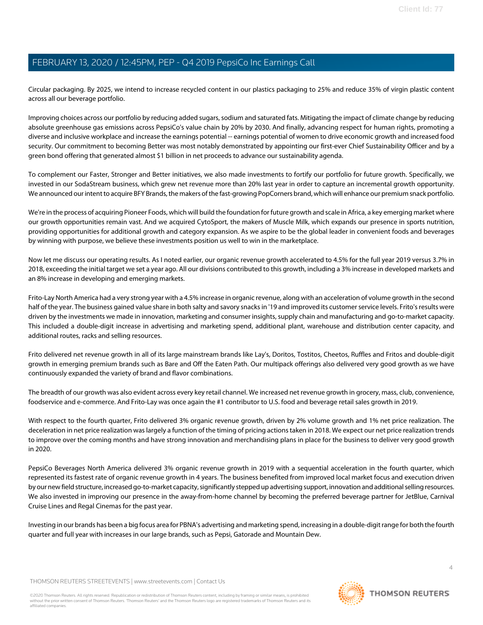Circular packaging. By 2025, we intend to increase recycled content in our plastics packaging to 25% and reduce 35% of virgin plastic content across all our beverage portfolio.

Improving choices across our portfolio by reducing added sugars, sodium and saturated fats. Mitigating the impact of climate change by reducing absolute greenhouse gas emissions across PepsiCo's value chain by 20% by 2030. And finally, advancing respect for human rights, promoting a diverse and inclusive workplace and increase the earnings potential -- earnings potential of women to drive economic growth and increased food security. Our commitment to becoming Better was most notably demonstrated by appointing our first-ever Chief Sustainability Officer and by a green bond offering that generated almost \$1 billion in net proceeds to advance our sustainability agenda.

To complement our Faster, Stronger and Better initiatives, we also made investments to fortify our portfolio for future growth. Specifically, we invested in our SodaStream business, which grew net revenue more than 20% last year in order to capture an incremental growth opportunity. We announced our intent to acquire BFY Brands, the makers of the fast-growing PopCorners brand, which will enhance our premium snack portfolio.

We're in the process of acquiring Pioneer Foods, which will build the foundation for future growth and scale in Africa, a key emerging market where our growth opportunities remain vast. And we acquired CytoSport, the makers of Muscle Milk, which expands our presence in sports nutrition, providing opportunities for additional growth and category expansion. As we aspire to be the global leader in convenient foods and beverages by winning with purpose, we believe these investments position us well to win in the marketplace.

Now let me discuss our operating results. As I noted earlier, our organic revenue growth accelerated to 4.5% for the full year 2019 versus 3.7% in 2018, exceeding the initial target we set a year ago. All our divisions contributed to this growth, including a 3% increase in developed markets and an 8% increase in developing and emerging markets.

Frito-Lay North America had a very strong year with a 4.5% increase in organic revenue, along with an acceleration of volume growth in the second half of the year. The business gained value share in both salty and savory snacks in '19 and improved its customer service levels. Frito's results were driven by the investments we made in innovation, marketing and consumer insights, supply chain and manufacturing and go-to-market capacity. This included a double-digit increase in advertising and marketing spend, additional plant, warehouse and distribution center capacity, and additional routes, racks and selling resources.

Frito delivered net revenue growth in all of its large mainstream brands like Lay's, Doritos, Tostitos, Cheetos, Ruffles and Fritos and double-digit growth in emerging premium brands such as Bare and Off the Eaten Path. Our multipack offerings also delivered very good growth as we have continuously expanded the variety of brand and flavor combinations.

The breadth of our growth was also evident across every key retail channel. We increased net revenue growth in grocery, mass, club, convenience, foodservice and e-commerce. And Frito-Lay was once again the #1 contributor to U.S. food and beverage retail sales growth in 2019.

With respect to the fourth quarter, Frito delivered 3% organic revenue growth, driven by 2% volume growth and 1% net price realization. The deceleration in net price realization was largely a function of the timing of pricing actions taken in 2018. We expect our net price realization trends to improve over the coming months and have strong innovation and merchandising plans in place for the business to deliver very good growth in 2020.

PepsiCo Beverages North America delivered 3% organic revenue growth in 2019 with a sequential acceleration in the fourth quarter, which represented its fastest rate of organic revenue growth in 4 years. The business benefited from improved local market focus and execution driven by our new field structure, increased go-to-market capacity, significantly stepped up advertising support, innovation and additional selling resources. We also invested in improving our presence in the away-from-home channel by becoming the preferred beverage partner for JetBlue, Carnival Cruise Lines and Regal Cinemas for the past year.

Investing in our brands has been a big focus area for PBNA's advertising and marketing spend, increasing in a double-digit range for both the fourth quarter and full year with increases in our large brands, such as Pepsi, Gatorade and Mountain Dew.

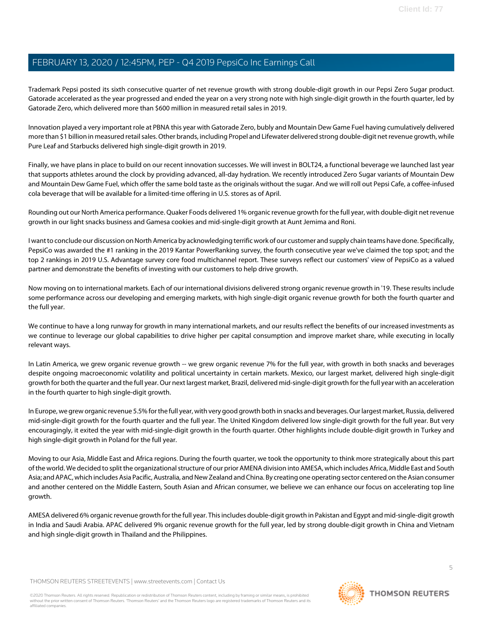Trademark Pepsi posted its sixth consecutive quarter of net revenue growth with strong double-digit growth in our Pepsi Zero Sugar product. Gatorade accelerated as the year progressed and ended the year on a very strong note with high single-digit growth in the fourth quarter, led by Gatorade Zero, which delivered more than \$600 million in measured retail sales in 2019.

Innovation played a very important role at PBNA this year with Gatorade Zero, bubly and Mountain Dew Game Fuel having cumulatively delivered more than \$1 billion in measured retail sales. Other brands, including Propel and Lifewater delivered strong double-digit net revenue growth, while Pure Leaf and Starbucks delivered high single-digit growth in 2019.

Finally, we have plans in place to build on our recent innovation successes. We will invest in BOLT24, a functional beverage we launched last year that supports athletes around the clock by providing advanced, all-day hydration. We recently introduced Zero Sugar variants of Mountain Dew and Mountain Dew Game Fuel, which offer the same bold taste as the originals without the sugar. And we will roll out Pepsi Cafe, a coffee-infused cola beverage that will be available for a limited-time offering in U.S. stores as of April.

Rounding out our North America performance. Quaker Foods delivered 1% organic revenue growth for the full year, with double-digit net revenue growth in our light snacks business and Gamesa cookies and mid-single-digit growth at Aunt Jemima and Roni.

I want to conclude our discussion on North America by acknowledging terrific work of our customer and supply chain teams have done. Specifically, PepsiCo was awarded the #1 ranking in the 2019 Kantar PowerRanking survey, the fourth consecutive year we've claimed the top spot; and the top 2 rankings in 2019 U.S. Advantage survey core food multichannel report. These surveys reflect our customers' view of PepsiCo as a valued partner and demonstrate the benefits of investing with our customers to help drive growth.

Now moving on to international markets. Each of our international divisions delivered strong organic revenue growth in '19. These results include some performance across our developing and emerging markets, with high single-digit organic revenue growth for both the fourth quarter and the full year.

We continue to have a long runway for growth in many international markets, and our results reflect the benefits of our increased investments as we continue to leverage our global capabilities to drive higher per capital consumption and improve market share, while executing in locally relevant ways.

In Latin America, we grew organic revenue growth -- we grew organic revenue 7% for the full year, with growth in both snacks and beverages despite ongoing macroeconomic volatility and political uncertainty in certain markets. Mexico, our largest market, delivered high single-digit growth for both the quarter and the full year. Our next largest market, Brazil, delivered mid-single-digit growth for the full year with an acceleration in the fourth quarter to high single-digit growth.

In Europe, we grew organic revenue 5.5% for the full year, with very good growth both in snacks and beverages. Our largest market, Russia, delivered mid-single-digit growth for the fourth quarter and the full year. The United Kingdom delivered low single-digit growth for the full year. But very encouragingly, it exited the year with mid-single-digit growth in the fourth quarter. Other highlights include double-digit growth in Turkey and high single-digit growth in Poland for the full year.

Moving to our Asia, Middle East and Africa regions. During the fourth quarter, we took the opportunity to think more strategically about this part of the world. We decided to split the organizational structure of our prior AMENA division into AMESA, which includes Africa, Middle East and South Asia; and APAC, which includes Asia Pacific, Australia, and New Zealand and China. By creating one operating sector centered on the Asian consumer and another centered on the Middle Eastern, South Asian and African consumer, we believe we can enhance our focus on accelerating top line growth.

AMESA delivered 6% organic revenue growth for the full year. This includes double-digit growth in Pakistan and Egypt and mid-single-digit growth in India and Saudi Arabia. APAC delivered 9% organic revenue growth for the full year, led by strong double-digit growth in China and Vietnam and high single-digit growth in Thailand and the Philippines.

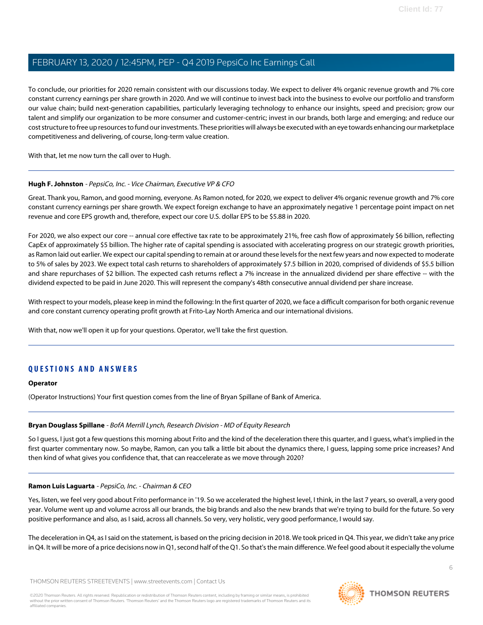To conclude, our priorities for 2020 remain consistent with our discussions today. We expect to deliver 4% organic revenue growth and 7% core constant currency earnings per share growth in 2020. And we will continue to invest back into the business to evolve our portfolio and transform our value chain; build next-generation capabilities, particularly leveraging technology to enhance our insights, speed and precision; grow our talent and simplify our organization to be more consumer and customer-centric; invest in our brands, both large and emerging; and reduce our cost structure to free up resources to fund our investments. These priorities will always be executed with an eye towards enhancing our marketplace competitiveness and delivering, of course, long-term value creation.

<span id="page-5-0"></span>With that, let me now turn the call over to Hugh.

#### **Hugh F. Johnston** - PepsiCo, Inc. - Vice Chairman, Executive VP & CFO

Great. Thank you, Ramon, and good morning, everyone. As Ramon noted, for 2020, we expect to deliver 4% organic revenue growth and 7% core constant currency earnings per share growth. We expect foreign exchange to have an approximately negative 1 percentage point impact on net revenue and core EPS growth and, therefore, expect our core U.S. dollar EPS to be \$5.88 in 2020.

For 2020, we also expect our core -- annual core effective tax rate to be approximately 21%, free cash flow of approximately \$6 billion, reflecting CapEx of approximately \$5 billion. The higher rate of capital spending is associated with accelerating progress on our strategic growth priorities, as Ramon laid out earlier. We expect our capital spending to remain at or around these levels for the next few years and now expected to moderate to 5% of sales by 2023. We expect total cash returns to shareholders of approximately \$7.5 billion in 2020, comprised of dividends of \$5.5 billion and share repurchases of \$2 billion. The expected cash returns reflect a 7% increase in the annualized dividend per share effective -- with the dividend expected to be paid in June 2020. This will represent the company's 48th consecutive annual dividend per share increase.

With respect to your models, please keep in mind the following: In the first quarter of 2020, we face a difficult comparison for both organic revenue and core constant currency operating profit growth at Frito-Lay North America and our international divisions.

With that, now we'll open it up for your questions. Operator, we'll take the first question.

# **QUESTIONS AND ANSWERS**

#### <span id="page-5-1"></span>**Operator**

(Operator Instructions) Your first question comes from the line of Bryan Spillane of Bank of America.

## **Bryan Douglass Spillane** - BofA Merrill Lynch, Research Division - MD of Equity Research

So I guess, I just got a few questions this morning about Frito and the kind of the deceleration there this quarter, and I guess, what's implied in the first quarter commentary now. So maybe, Ramon, can you talk a little bit about the dynamics there, I guess, lapping some price increases? And then kind of what gives you confidence that, that can reaccelerate as we move through 2020?

## **Ramon Luis Laguarta** - PepsiCo, Inc. - Chairman & CEO

Yes, listen, we feel very good about Frito performance in '19. So we accelerated the highest level, I think, in the last 7 years, so overall, a very good year. Volume went up and volume across all our brands, the big brands and also the new brands that we're trying to build for the future. So very positive performance and also, as I said, across all channels. So very, very holistic, very good performance, I would say.

The deceleration in Q4, as I said on the statement, is based on the pricing decision in 2018. We took priced in Q4. This year, we didn't take any price in Q4. It will be more of a price decisions now in Q1, second half of the Q1. So that's the main difference. We feel good about it especially the volume

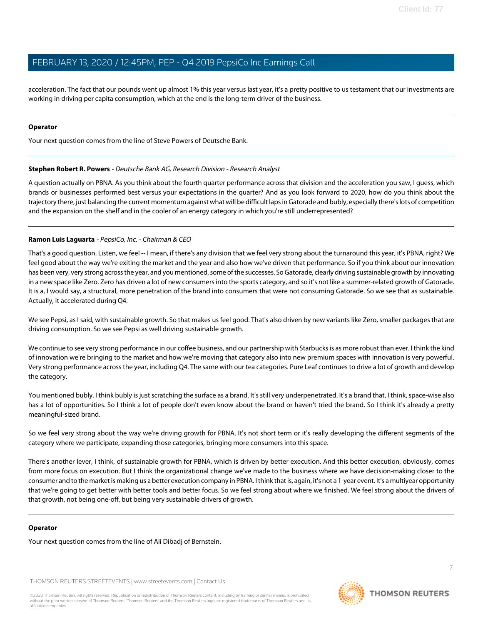acceleration. The fact that our pounds went up almost 1% this year versus last year, it's a pretty positive to us testament that our investments are working in driving per capita consumption, which at the end is the long-term driver of the business.

#### **Operator**

<span id="page-6-0"></span>Your next question comes from the line of Steve Powers of Deutsche Bank.

#### **Stephen Robert R. Powers** - Deutsche Bank AG, Research Division - Research Analyst

A question actually on PBNA. As you think about the fourth quarter performance across that division and the acceleration you saw, I guess, which brands or businesses performed best versus your expectations in the quarter? And as you look forward to 2020, how do you think about the trajectory there, just balancing the current momentum against what will be difficult laps in Gatorade and bubly, especially there's lots of competition and the expansion on the shelf and in the cooler of an energy category in which you're still underrepresented?

## **Ramon Luis Laguarta** - PepsiCo, Inc. - Chairman & CEO

That's a good question. Listen, we feel -- I mean, if there's any division that we feel very strong about the turnaround this year, it's PBNA, right? We feel good about the way we're exiting the market and the year and also how we've driven that performance. So if you think about our innovation has been very, very strong across the year, and you mentioned, some of the successes. So Gatorade, clearly driving sustainable growth by innovating in a new space like Zero. Zero has driven a lot of new consumers into the sports category, and so it's not like a summer-related growth of Gatorade. It is a, I would say, a structural, more penetration of the brand into consumers that were not consuming Gatorade. So we see that as sustainable. Actually, it accelerated during Q4.

We see Pepsi, as I said, with sustainable growth. So that makes us feel good. That's also driven by new variants like Zero, smaller packages that are driving consumption. So we see Pepsi as well driving sustainable growth.

We continue to see very strong performance in our coffee business, and our partnership with Starbucks is as more robust than ever. I think the kind of innovation we're bringing to the market and how we're moving that category also into new premium spaces with innovation is very powerful. Very strong performance across the year, including Q4. The same with our tea categories. Pure Leaf continues to drive a lot of growth and develop the category.

You mentioned bubly. I think bubly is just scratching the surface as a brand. It's still very underpenetrated. It's a brand that, I think, space-wise also has a lot of opportunities. So I think a lot of people don't even know about the brand or haven't tried the brand. So I think it's already a pretty meaningful-sized brand.

So we feel very strong about the way we're driving growth for PBNA. It's not short term or it's really developing the different segments of the category where we participate, expanding those categories, bringing more consumers into this space.

There's another lever, I think, of sustainable growth for PBNA, which is driven by better execution. And this better execution, obviously, comes from more focus on execution. But I think the organizational change we've made to the business where we have decision-making closer to the consumer and to the market is making us a better execution company in PBNA. I think that is, again, it's not a 1-year event. It's a multiyear opportunity that we're going to get better with better tools and better focus. So we feel strong about where we finished. We feel strong about the drivers of that growth, not being one-off, but being very sustainable drivers of growth.

#### **Operator**

Your next question comes from the line of Ali Dibadj of Bernstein.

THOMSON REUTERS STREETEVENTS | [www.streetevents.com](http://www.streetevents.com) | [Contact Us](http://www010.streetevents.com/contact.asp)

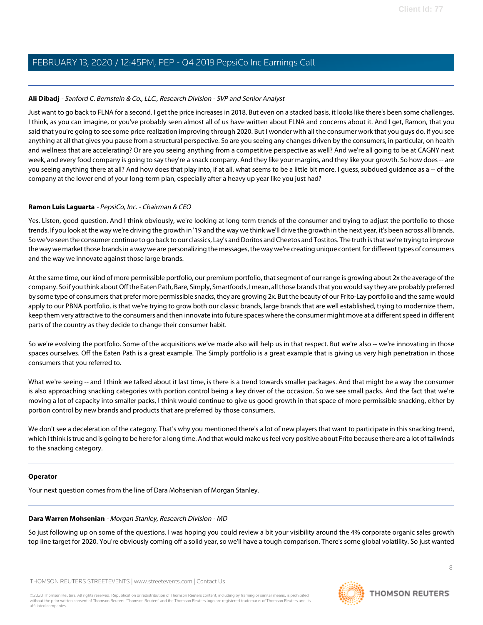## <span id="page-7-0"></span>**Ali Dibadj** - Sanford C. Bernstein & Co., LLC., Research Division - SVP and Senior Analyst

Just want to go back to FLNA for a second. I get the price increases in 2018. But even on a stacked basis, it looks like there's been some challenges. I think, as you can imagine, or you've probably seen almost all of us have written about FLNA and concerns about it. And I get, Ramon, that you said that you're going to see some price realization improving through 2020. But I wonder with all the consumer work that you guys do, if you see anything at all that gives you pause from a structural perspective. So are you seeing any changes driven by the consumers, in particular, on health and wellness that are accelerating? Or are you seeing anything from a competitive perspective as well? And we're all going to be at CAGNY next week, and every food company is going to say they're a snack company. And they like your margins, and they like your growth. So how does -- are you seeing anything there at all? And how does that play into, if at all, what seems to be a little bit more, I guess, subdued guidance as a -- of the company at the lower end of your long-term plan, especially after a heavy up year like you just had?

## **Ramon Luis Laguarta** - PepsiCo, Inc. - Chairman & CEO

Yes. Listen, good question. And I think obviously, we're looking at long-term trends of the consumer and trying to adjust the portfolio to those trends. If you look at the way we're driving the growth in '19 and the way we think we'll drive the growth in the next year, it's been across all brands. So we've seen the consumer continue to go back to our classics, Lay's and Doritos and Cheetos and Tostitos. The truth is that we're trying to improve the way we market those brands in a way we are personalizing the messages, the way we're creating unique content for different types of consumers and the way we innovate against those large brands.

At the same time, our kind of more permissible portfolio, our premium portfolio, that segment of our range is growing about 2x the average of the company. So if you think about Off the Eaten Path, Bare, Simply, Smartfoods, I mean, all those brands that you would say they are probably preferred by some type of consumers that prefer more permissible snacks, they are growing 2x. But the beauty of our Frito-Lay portfolio and the same would apply to our PBNA portfolio, is that we're trying to grow both our classic brands, large brands that are well established, trying to modernize them, keep them very attractive to the consumers and then innovate into future spaces where the consumer might move at a different speed in different parts of the country as they decide to change their consumer habit.

So we're evolving the portfolio. Some of the acquisitions we've made also will help us in that respect. But we're also -- we're innovating in those spaces ourselves. Off the Eaten Path is a great example. The Simply portfolio is a great example that is giving us very high penetration in those consumers that you referred to.

What we're seeing -- and I think we talked about it last time, is there is a trend towards smaller packages. And that might be a way the consumer is also approaching snacking categories with portion control being a key driver of the occasion. So we see small packs. And the fact that we're moving a lot of capacity into smaller packs, I think would continue to give us good growth in that space of more permissible snacking, either by portion control by new brands and products that are preferred by those consumers.

We don't see a deceleration of the category. That's why you mentioned there's a lot of new players that want to participate in this snacking trend, which I think is true and is going to be here for a long time. And that would make us feel very positive about Frito because there are a lot of tailwinds to the snacking category.

#### <span id="page-7-1"></span>**Operator**

Your next question comes from the line of Dara Mohsenian of Morgan Stanley.

#### **Dara Warren Mohsenian** - Morgan Stanley, Research Division - MD

So just following up on some of the questions. I was hoping you could review a bit your visibility around the 4% corporate organic sales growth top line target for 2020. You're obviously coming off a solid year, so we'll have a tough comparison. There's some global volatility. So just wanted

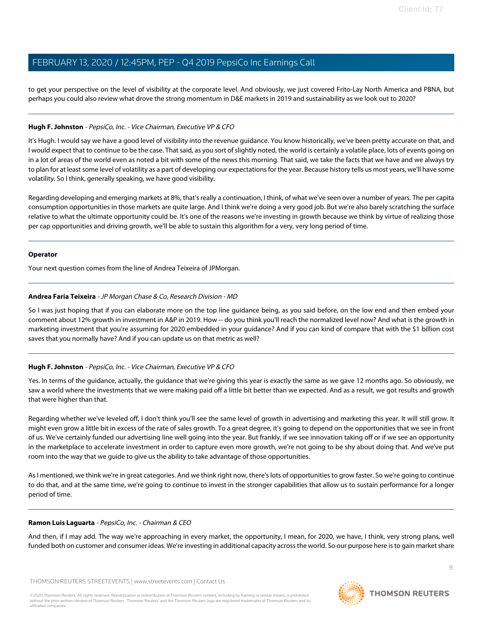to get your perspective on the level of visibility at the corporate level. And obviously, we just covered Frito-Lay North America and PBNA, but perhaps you could also review what drove the strong momentum in D&E markets in 2019 and sustainability as we look out to 2020?

## **Hugh F. Johnston** - PepsiCo, Inc. - Vice Chairman, Executive VP & CFO

It's Hugh. I would say we have a good level of visibility into the revenue guidance. You know historically, we've been pretty accurate on that, and I would expect that to continue to be the case. That said, as you sort of slightly noted, the world is certainly a volatile place, lots of events going on in a lot of areas of the world even as noted a bit with some of the news this morning. That said, we take the facts that we have and we always try to plan for at least some level of volatility as a part of developing our expectations for the year. Because history tells us most years, we'll have some volatility. So I think, generally speaking, we have good visibility.

Regarding developing and emerging markets at 8%, that's really a continuation, I think, of what we've seen over a number of years. The per capita consumption opportunities in those markets are quite large. And I think we're doing a very good job. But we're also barely scratching the surface relative to what the ultimate opportunity could be. It's one of the reasons we're investing in growth because we think by virtue of realizing those per cap opportunities and driving growth, we'll be able to sustain this algorithm for a very, very long period of time.

#### **Operator**

<span id="page-8-0"></span>Your next question comes from the line of Andrea Teixeira of JPMorgan.

## **Andrea Faria Teixeira** - JP Morgan Chase & Co, Research Division - MD

So I was just hoping that if you can elaborate more on the top line guidance being, as you said before, on the low end and then embed your comment about 12% growth in investment in A&P in 2019. How -- do you think you'll reach the normalized level now? And what is the growth in marketing investment that you're assuming for 2020 embedded in your guidance? And if you can kind of compare that with the \$1 billion cost saves that you normally have? And if you can update us on that metric as well?

## **Hugh F. Johnston** - PepsiCo, Inc. - Vice Chairman, Executive VP & CFO

Yes. In terms of the guidance, actually, the guidance that we're giving this year is exactly the same as we gave 12 months ago. So obviously, we saw a world where the investments that we were making paid off a little bit better than we expected. And as a result, we got results and growth that were higher than that.

Regarding whether we've leveled off, I don't think you'll see the same level of growth in advertising and marketing this year. It will still grow. It might even grow a little bit in excess of the rate of sales growth. To a great degree, it's going to depend on the opportunities that we see in front of us. We've certainly funded our advertising line well going into the year. But frankly, if we see innovation taking off or if we see an opportunity in the marketplace to accelerate investment in order to capture even more growth, we're not going to be shy about doing that. And we've put room into the way that we guide to give us the ability to take advantage of those opportunities.

As I mentioned, we think we're in great categories. And we think right now, there's lots of opportunities to grow faster. So we're going to continue to do that, and at the same time, we're going to continue to invest in the stronger capabilities that allow us to sustain performance for a longer period of time.

#### **Ramon Luis Laguarta** - PepsiCo, Inc. - Chairman & CEO

And then, if I may add. The way we're approaching in every market, the opportunity, I mean, for 2020, we have, I think, very strong plans, well funded both on customer and consumer ideas. We're investing in additional capacity across the world. So our purpose here is to gain market share

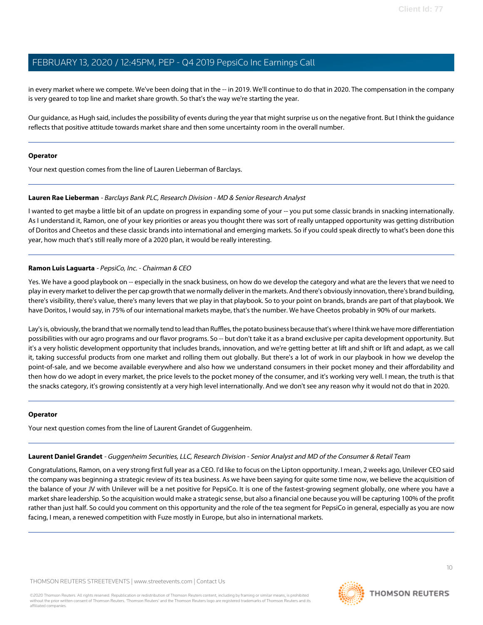in every market where we compete. We've been doing that in the -- in 2019. We'll continue to do that in 2020. The compensation in the company is very geared to top line and market share growth. So that's the way we're starting the year.

Our guidance, as Hugh said, includes the possibility of events during the year that might surprise us on the negative front. But I think the guidance reflects that positive attitude towards market share and then some uncertainty room in the overall number.

#### **Operator**

<span id="page-9-0"></span>Your next question comes from the line of Lauren Lieberman of Barclays.

#### **Lauren Rae Lieberman** - Barclays Bank PLC, Research Division - MD & Senior Research Analyst

I wanted to get maybe a little bit of an update on progress in expanding some of your -- you put some classic brands in snacking internationally. As I understand it, Ramon, one of your key priorities or areas you thought there was sort of really untapped opportunity was getting distribution of Doritos and Cheetos and these classic brands into international and emerging markets. So if you could speak directly to what's been done this year, how much that's still really more of a 2020 plan, it would be really interesting.

## **Ramon Luis Laguarta** - PepsiCo, Inc. - Chairman & CEO

Yes. We have a good playbook on -- especially in the snack business, on how do we develop the category and what are the levers that we need to play in every market to deliver the per cap growth that we normally deliver in the markets. And there's obviously innovation, there's brand building, there's visibility, there's value, there's many levers that we play in that playbook. So to your point on brands, brands are part of that playbook. We have Doritos, I would say, in 75% of our international markets maybe, that's the number. We have Cheetos probably in 90% of our markets.

Lay's is, obviously, the brand that we normally tend to lead than Ruffles, the potato business because that's where I think we have more differentiation possibilities with our agro programs and our flavor programs. So -- but don't take it as a brand exclusive per capita development opportunity. But it's a very holistic development opportunity that includes brands, innovation, and we're getting better at lift and shift or lift and adapt, as we call it, taking successful products from one market and rolling them out globally. But there's a lot of work in our playbook in how we develop the point-of-sale, and we become available everywhere and also how we understand consumers in their pocket money and their affordability and then how do we adopt in every market, the price levels to the pocket money of the consumer, and it's working very well. I mean, the truth is that the snacks category, it's growing consistently at a very high level internationally. And we don't see any reason why it would not do that in 2020.

#### <span id="page-9-1"></span>**Operator**

Your next question comes from the line of Laurent Grandet of Guggenheim.

# **Laurent Daniel Grandet** - Guggenheim Securities, LLC, Research Division - Senior Analyst and MD of the Consumer & Retail Team

Congratulations, Ramon, on a very strong first full year as a CEO. I'd like to focus on the Lipton opportunity. I mean, 2 weeks ago, Unilever CEO said the company was beginning a strategic review of its tea business. As we have been saying for quite some time now, we believe the acquisition of the balance of your JV with Unilever will be a net positive for PepsiCo. It is one of the fastest-growing segment globally, one where you have a market share leadership. So the acquisition would make a strategic sense, but also a financial one because you will be capturing 100% of the profit rather than just half. So could you comment on this opportunity and the role of the tea segment for PepsiCo in general, especially as you are now facing, I mean, a renewed competition with Fuze mostly in Europe, but also in international markets.

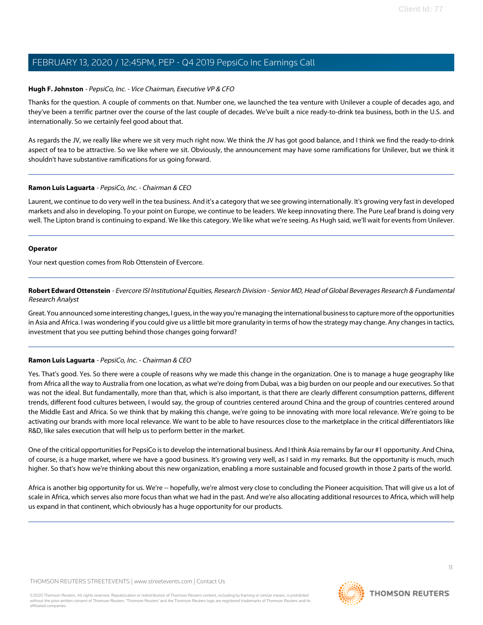#### **Hugh F. Johnston** - PepsiCo, Inc. - Vice Chairman, Executive VP & CFO

Thanks for the question. A couple of comments on that. Number one, we launched the tea venture with Unilever a couple of decades ago, and they've been a terrific partner over the course of the last couple of decades. We've built a nice ready-to-drink tea business, both in the U.S. and internationally. So we certainly feel good about that.

As regards the JV, we really like where we sit very much right now. We think the JV has got good balance, and I think we find the ready-to-drink aspect of tea to be attractive. So we like where we sit. Obviously, the announcement may have some ramifications for Unilever, but we think it shouldn't have substantive ramifications for us going forward.

#### **Ramon Luis Laguarta** - PepsiCo, Inc. - Chairman & CEO

Laurent, we continue to do very well in the tea business. And it's a category that we see growing internationally. It's growing very fast in developed markets and also in developing. To your point on Europe, we continue to be leaders. We keep innovating there. The Pure Leaf brand is doing very well. The Lipton brand is continuing to expand. We like this category. We like what we're seeing. As Hugh said, we'll wait for events from Unilever.

#### **Operator**

<span id="page-10-0"></span>Your next question comes from Rob Ottenstein of Evercore.

**Robert Edward Ottenstein** - Evercore ISI Institutional Equities, Research Division - Senior MD, Head of Global Beverages Research & Fundamental Research Analyst

Great. You announced some interesting changes, I guess, in the way you're managing the international business to capture more of the opportunities in Asia and Africa. I was wondering if you could give us a little bit more granularity in terms of how the strategy may change. Any changes in tactics, investment that you see putting behind those changes going forward?

## **Ramon Luis Laguarta** - PepsiCo, Inc. - Chairman & CEO

Yes. That's good. Yes. So there were a couple of reasons why we made this change in the organization. One is to manage a huge geography like from Africa all the way to Australia from one location, as what we're doing from Dubai, was a big burden on our people and our executives. So that was not the ideal. But fundamentally, more than that, which is also important, is that there are clearly different consumption patterns, different trends, different food cultures between, I would say, the group of countries centered around China and the group of countries centered around the Middle East and Africa. So we think that by making this change, we're going to be innovating with more local relevance. We're going to be activating our brands with more local relevance. We want to be able to have resources close to the marketplace in the critical differentiators like R&D, like sales execution that will help us to perform better in the market.

One of the critical opportunities for PepsiCo is to develop the international business. And I think Asia remains by far our #1 opportunity. And China, of course, is a huge market, where we have a good business. It's growing very well, as I said in my remarks. But the opportunity is much, much higher. So that's how we're thinking about this new organization, enabling a more sustainable and focused growth in those 2 parts of the world.

Africa is another big opportunity for us. We're -- hopefully, we're almost very close to concluding the Pioneer acquisition. That will give us a lot of scale in Africa, which serves also more focus than what we had in the past. And we're also allocating additional resources to Africa, which will help us expand in that continent, which obviously has a huge opportunity for our products.

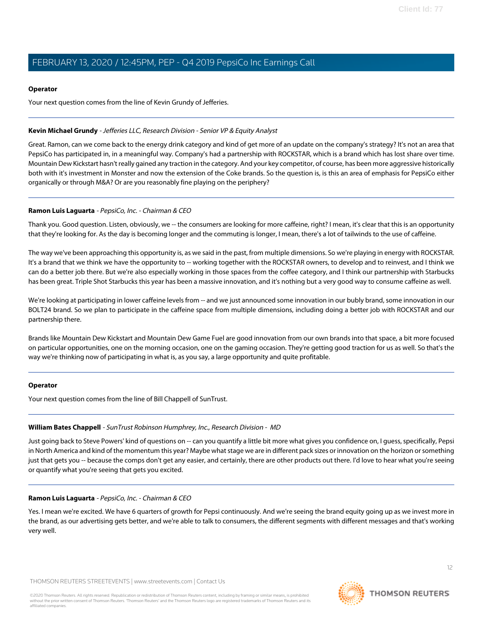#### **Operator**

Your next question comes from the line of Kevin Grundy of Jefferies.

## <span id="page-11-0"></span>**Kevin Michael Grundy** - Jefferies LLC, Research Division - Senior VP & Equity Analyst

Great. Ramon, can we come back to the energy drink category and kind of get more of an update on the company's strategy? It's not an area that PepsiCo has participated in, in a meaningful way. Company's had a partnership with ROCKSTAR, which is a brand which has lost share over time. Mountain Dew Kickstart hasn't really gained any traction in the category. And your key competitor, of course, has been more aggressive historically both with it's investment in Monster and now the extension of the Coke brands. So the question is, is this an area of emphasis for PepsiCo either organically or through M&A? Or are you reasonably fine playing on the periphery?

## **Ramon Luis Laguarta** - PepsiCo, Inc. - Chairman & CEO

Thank you. Good question. Listen, obviously, we -- the consumers are looking for more caffeine, right? I mean, it's clear that this is an opportunity that they're looking for. As the day is becoming longer and the commuting is longer, I mean, there's a lot of tailwinds to the use of caffeine.

The way we've been approaching this opportunity is, as we said in the past, from multiple dimensions. So we're playing in energy with ROCKSTAR. It's a brand that we think we have the opportunity to -- working together with the ROCKSTAR owners, to develop and to reinvest, and I think we can do a better job there. But we're also especially working in those spaces from the coffee category, and I think our partnership with Starbucks has been great. Triple Shot Starbucks this year has been a massive innovation, and it's nothing but a very good way to consume caffeine as well.

We're looking at participating in lower caffeine levels from -- and we just announced some innovation in our bubly brand, some innovation in our BOLT24 brand. So we plan to participate in the caffeine space from multiple dimensions, including doing a better job with ROCKSTAR and our partnership there.

Brands like Mountain Dew Kickstart and Mountain Dew Game Fuel are good innovation from our own brands into that space, a bit more focused on particular opportunities, one on the morning occasion, one on the gaming occasion. They're getting good traction for us as well. So that's the way we're thinking now of participating in what is, as you say, a large opportunity and quite profitable.

#### <span id="page-11-1"></span>**Operator**

Your next question comes from the line of Bill Chappell of SunTrust.

#### **William Bates Chappell** - SunTrust Robinson Humphrey, Inc., Research Division - MD

Just going back to Steve Powers' kind of questions on -- can you quantify a little bit more what gives you confidence on, I guess, specifically, Pepsi in North America and kind of the momentum this year? Maybe what stage we are in different pack sizes or innovation on the horizon or something just that gets you -- because the comps don't get any easier, and certainly, there are other products out there. I'd love to hear what you're seeing or quantify what you're seeing that gets you excited.

#### **Ramon Luis Laguarta** - PepsiCo, Inc. - Chairman & CEO

Yes. I mean we're excited. We have 6 quarters of growth for Pepsi continuously. And we're seeing the brand equity going up as we invest more in the brand, as our advertising gets better, and we're able to talk to consumers, the different segments with different messages and that's working very well.